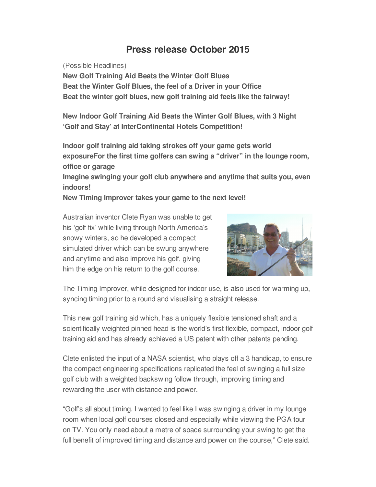## **Press release October 2015**

(Possible Headlines)

**New Golf Training Aid Beats the Winter Golf Blues Beat the Winter Golf Blues, the feel of a Driver in your Office Beat the winter golf blues, new golf training aid feels like the fairway!**

**New Indoor Golf Training Aid Beats the Winter Golf Blues, with 3 Night 'Golf and Stay' at InterContinental Hotels Competition!**

**Indoor golf training aid taking strokes off your game gets world exposureFor the first time golfers can swing a "driver" in the lounge room, office or garage**

**Imagine swinging your golf club anywhere and anytime that suits you, even indoors!**

**New Timing Improver takes your game to the next level!**

Australian inventor Clete Ryan was unable to get his 'golf fix' while living through North America's snowy winters, so he developed a compact simulated driver which can be swung anywhere and anytime and also improve his golf, giving him the edge on his return to the golf course.



The Timing Improver, while designed for indoor use, is also used for warming up, syncing timing prior to a round and visualising a straight release.

This new golf training aid which, has a uniquely flexible tensioned shaft and a scientifically weighted pinned head is the world's first flexible, compact, indoor golf training aid and has already achieved a US patent with other patents pending.

Clete enlisted the input of a NASA scientist, who plays off a 3 handicap, to ensure the compact engineering specifications replicated the feel of swinging a full size golf club with a weighted backswing follow through, improving timing and rewarding the user with distance and power.

"Golf's all about timing. I wanted to feel like I was swinging a driver in my lounge room when local golf courses closed and especially while viewing the PGA tour on TV. You only need about a metre of space surrounding your swing to get the full benefit of improved timing and distance and power on the course," Clete said.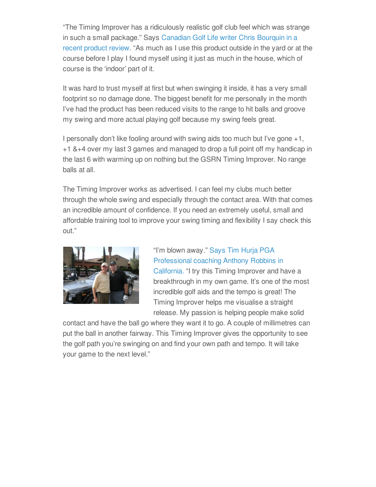"The Timing Improver has a ridiculously realistic golf club feel which was strange in such a small [package."](https://www.youtube.com/watch?v=pETatEQyiBA) Says Canadian Golf Life writer Chris Bourquin in a recent product review. "As much as I use this product outside in the yard or at the course before I play I found myself using it just as much in the house, which of course is the 'indoor' part of it.

It was hard to trust myself at first but when swinging it inside, it has a very small footprint so no damage done. The biggest benefit for me personally in the month I've had the product has been reduced visits to the range to hit balls and groove my swing and more actual playing golf because my swing feels great.

I personally don't like fooling around with swing aids too much but I've gone +1, +1 &+4 over my last 3 games and managed to drop a full point off my handicap in the last 6 with warming up on nothing but the GSRN Timing Improver. No range balls at all.

The Timing Improver works as advertised. I can feel my clubs much better through the whole swing and especially through the contact area. With that comes an incredible amount of confidence. If you need an extremely useful, small and affordable training tool to improve your swing timing and flexibility I say check this out."



"I'm blown away." Says Tim Hurja PGA [Professional](https://www.youtube.com/watch?v=f2A75fddl0M&feature=youtu.be) coaching Anthony Robbins in California. "I try this Timing Improver and have a breakthrough in my own game. It's one of the most incredible golf aids and the tempo is great! The Timing Improver helps me visualise a straight release. My passion is helping people make solid

contact and have the ball go where they want it to go. A couple of millimetres can put the ball in another fairway. This Timing Improver gives the opportunity to see the golf path you're swinging on and find your own path and tempo. It will take your game to the next level."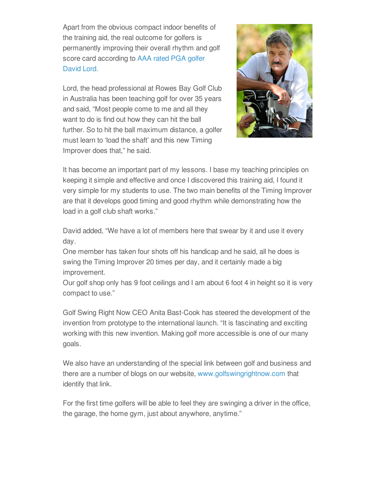Apart from the obvious compact indoor benefits of the training aid, the real outcome for golfers is permanently improving their overall rhythm and golf score card [according](https://www.youtube.com/watch?v=5tXcqzjpINI&feature=youtu.be) to AAA rated PGA golfer David Lord.

Lord, the head professional at Rowes Bay Golf Club in Australia has been teaching golf for over 35 years and said, "Most people come to me and all they want to do is find out how they can hit the ball further. So to hit the ball maximum distance, a golfer must learn to 'load the shaft' and this new Timing Improver does that," he said.



It has become an important part of my lessons. I base my teaching principles on keeping it simple and effective and once I discovered this training aid, I found it very simple for my students to use. The two main benefits of the Timing Improver are that it develops good timing and good rhythm while demonstrating how the load in a golf club shaft works."

David added, "We have a lot of members here that swear by it and use it every day.

One member has taken four shots off his handicap and he said, all he does is swing the Timing Improver 20 times per day, and it certainly made a big improvement.

Our golf shop only has 9 foot ceilings and I am about 6 foot 4 in height so it is very compact to use."

Golf Swing Right Now CEO Anita Bast-Cook has steered the development of the invention from prototype to the international launch. "It is fascinating and exciting working with this new invention. Making golf more accessible is one of our many goals.

We also have an understanding of the special link between golf and business and there are a number of blogs on our website, [www.golfswingrightnow.com](http://www.golfswingrightnow.com) that identify that link.

For the first time golfers will be able to feel they are swinging a driver in the office, the garage, the home gym, just about anywhere, anytime."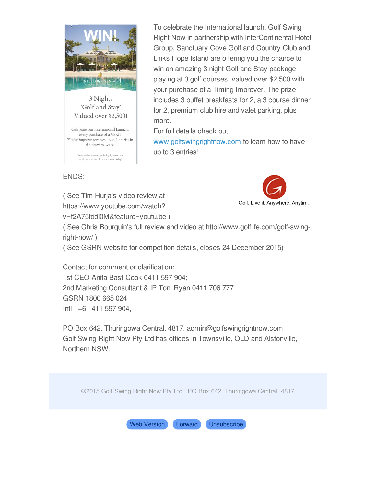

To celebrate the International launch, Golf Swing Right Now in partnership with InterContinental Hotel Group, Sanctuary Cove Golf and Country Club and Links Hope Island are offering you the chance to win an amazing 3 night Golf and Stay package playing at 3 golf courses, valued over \$2,500 with your purchase of a Timing Improver. The prize includes 3 buffet breakfasts for 2, a 3 course dinner for 2, premium club hire and valet parking, plus more.

For full details check out

[www.golfswingrightnow.com](http://www.golfswingrightnow.com) to learn how to have up to 3 entries!

ENDS:

( See Tim Hurja's video review at https://www.youtube.com/watch? v=f2A75fddl0M&feature=youtu.be )



( See Chris Bourquin's full review and video at http://www.golflife.com/golf-swingright-now/ )

( See GSRN website for competition details, closes 24 December 2015)

Contact for comment or clarification: 1st CEO Anita Bast-Cook 0411 597 904; 2nd Marketing Consultant & IP Toni Ryan 0411 706 777 GSRN 1800 665 024 Intl - +61 411 597 904,

PO Box 642, Thuringowa Central, 4817. admin@golfswingrightnow.com Golf Swing Right Now Pty Ltd has offices in Townsville, QLD and Alstonville, Northern NSW.

©2015 Golf Swing Right Now Pty Ltd | PO Box 642, Thuringowa Central, 4817